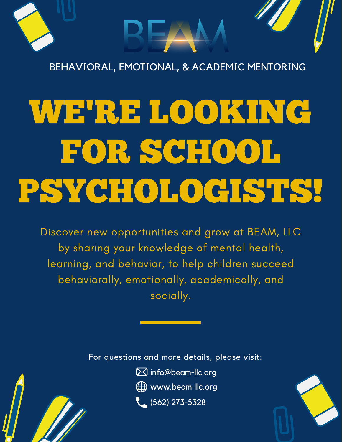

BEHAVIORAL, EMOTIONAL, & ACADEMIC MENTORING

# WE'RE LOOKING FOR SCHOOL PSYCHOLOGISTS!

Discover new opportunities and grow at BEAM, LLC by sharing your knowledge of mental health, learning, and behavior, to help children succeed behaviorally, emotionally, academically, and socially.

For questions and more details, please visit:

info@beam-llc.org

Www.beam-llc.org

 $(562)$  273-5328